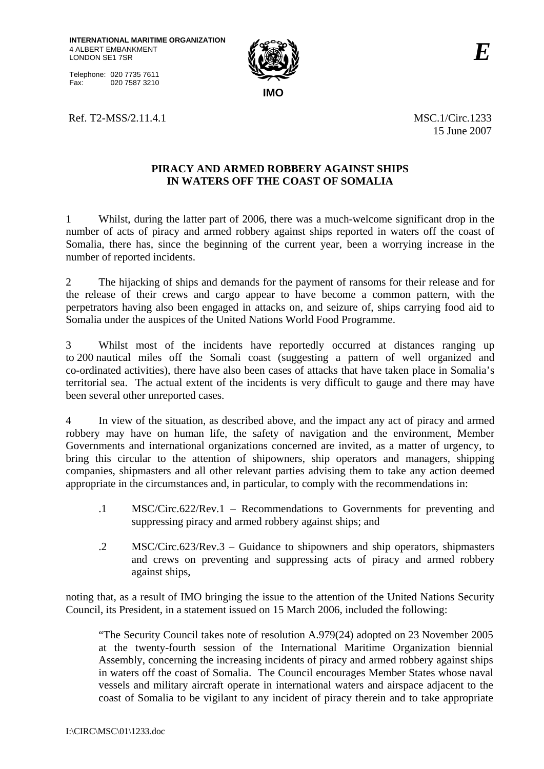Telephone: 020 7735 7611 Fax: 020 7587 3210



Ref. T2-MSS/2.11.4.1 MSC.1/Circ.1233

15 June 2007

## **PIRACY AND ARMED ROBBERY AGAINST SHIPS IN WATERS OFF THE COAST OF SOMALIA**

1 Whilst, during the latter part of 2006, there was a much-welcome significant drop in the number of acts of piracy and armed robbery against ships reported in waters off the coast of Somalia, there has, since the beginning of the current year, been a worrying increase in the number of reported incidents.

2 The hijacking of ships and demands for the payment of ransoms for their release and for the release of their crews and cargo appear to have become a common pattern, with the perpetrators having also been engaged in attacks on, and seizure of, ships carrying food aid to Somalia under the auspices of the United Nations World Food Programme.

3 Whilst most of the incidents have reportedly occurred at distances ranging up to 200 nautical miles off the Somali coast (suggesting a pattern of well organized and co-ordinated activities), there have also been cases of attacks that have taken place in Somalia's territorial sea. The actual extent of the incidents is very difficult to gauge and there may have been several other unreported cases.

4 In view of the situation, as described above, and the impact any act of piracy and armed robbery may have on human life, the safety of navigation and the environment, Member Governments and international organizations concerned are invited, as a matter of urgency, to bring this circular to the attention of shipowners, ship operators and managers, shipping companies, shipmasters and all other relevant parties advising them to take any action deemed appropriate in the circumstances and, in particular, to comply with the recommendations in:

- .1 MSC/Circ.622/Rev.1 Recommendations to Governments for preventing and suppressing piracy and armed robbery against ships; and
- .2 MSC/Circ.623/Rev.3 Guidance to shipowners and ship operators, shipmasters and crews on preventing and suppressing acts of piracy and armed robbery against ships,

noting that, as a result of IMO bringing the issue to the attention of the United Nations Security Council, its President, in a statement issued on 15 March 2006, included the following:

"The Security Council takes note of resolution A.979(24) adopted on 23 November 2005 at the twenty-fourth session of the International Maritime Organization biennial Assembly, concerning the increasing incidents of piracy and armed robbery against ships in waters off the coast of Somalia. The Council encourages Member States whose naval vessels and military aircraft operate in international waters and airspace adjacent to the coast of Somalia to be vigilant to any incident of piracy therein and to take appropriate